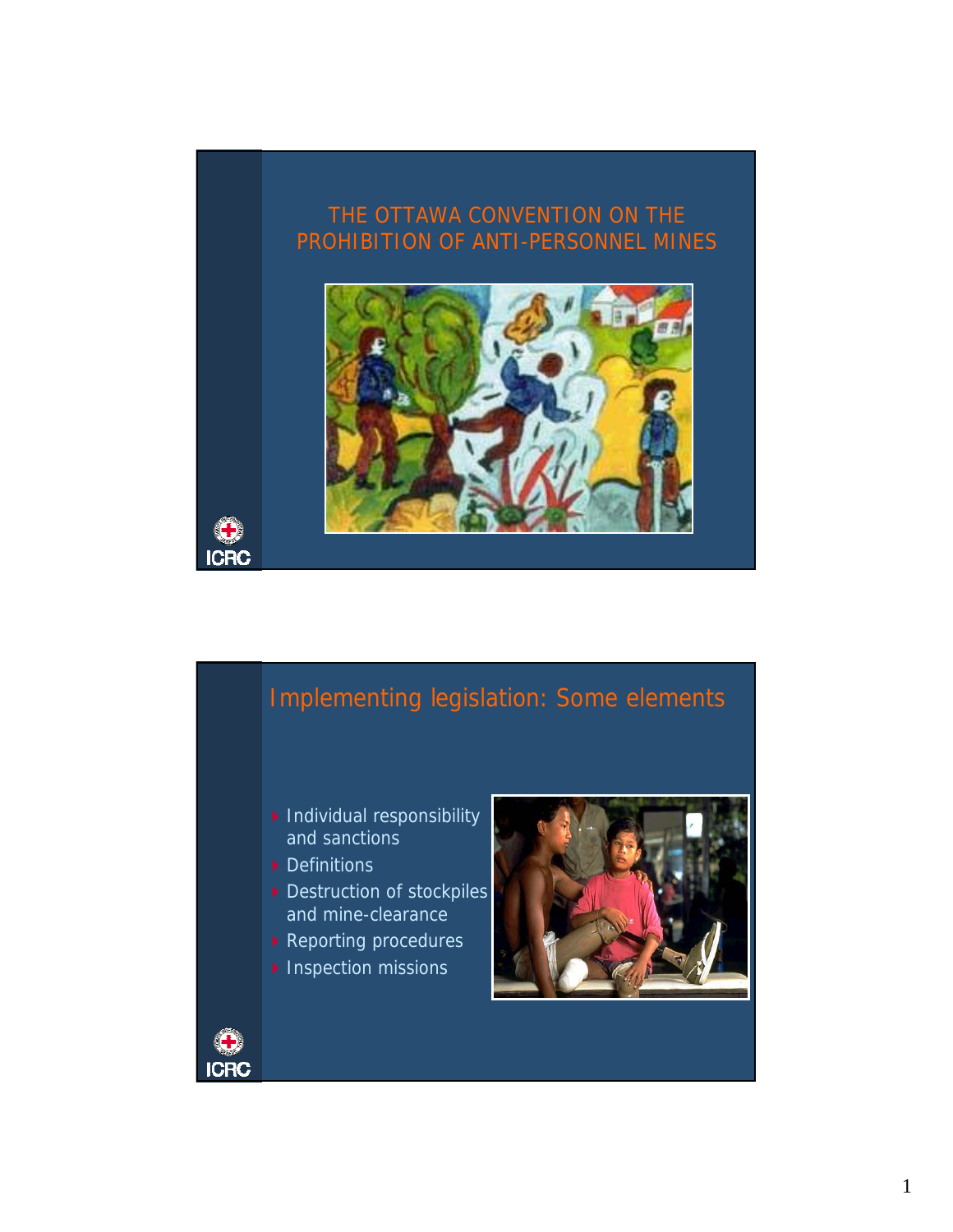

## Implementing legislation: Some elements

- $\blacktriangleright$  Individual responsibility and sanctions
- Definitions
- Destruction of stockpiles and mine-clearance
- ▶ Reporting procedures
- $\blacktriangleright$  Inspection missions



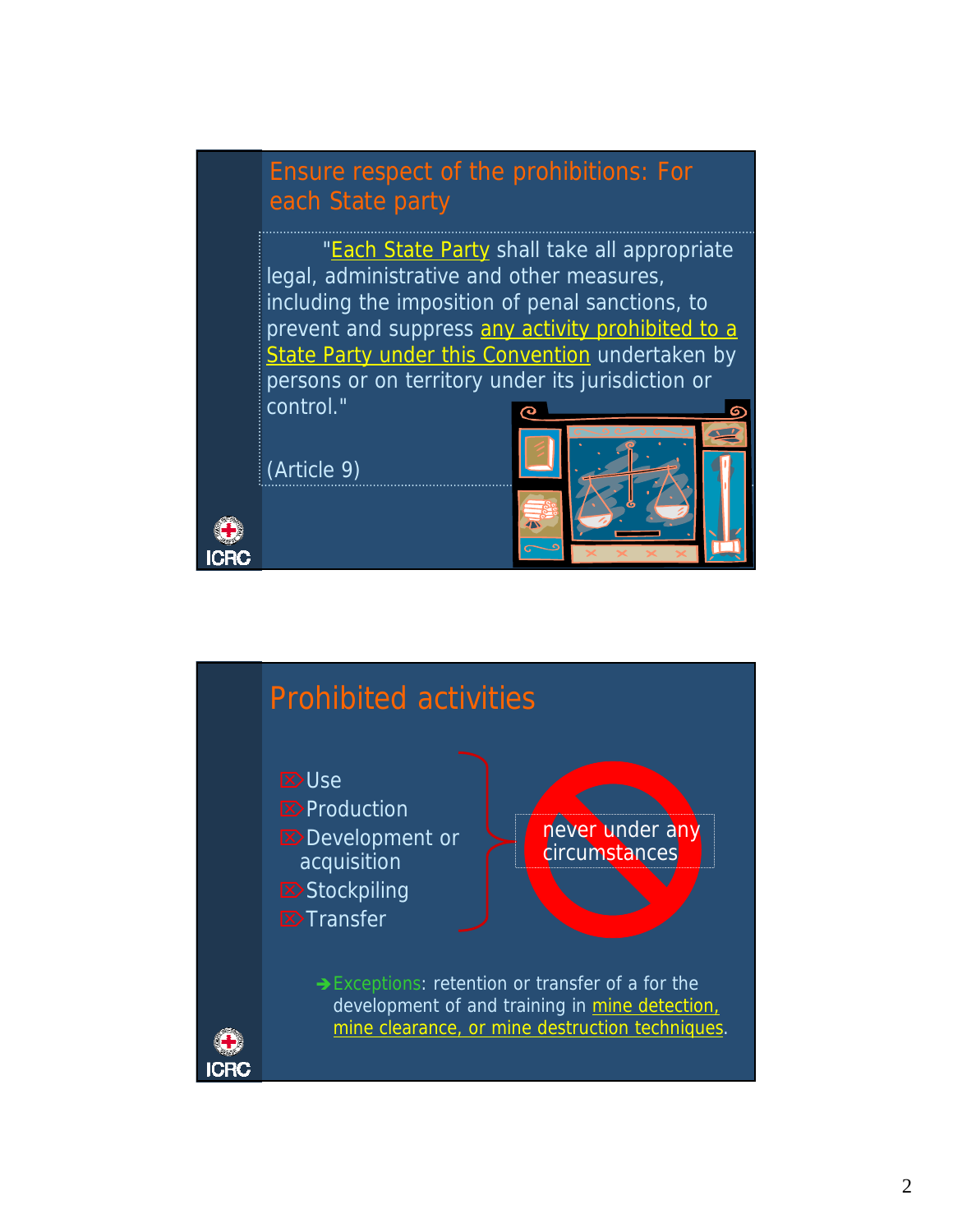## Ensure respect of the prohibitions: For each State party

"Each State Party shall take all appropriate legal, administrative and other measures, including the imposition of penal sanctions, to prevent and suppress any activity prohibited to a State Party under this Convention undertaken by persons or on territory under its jurisdiction or control."

(Article 9)

**ICRC** 



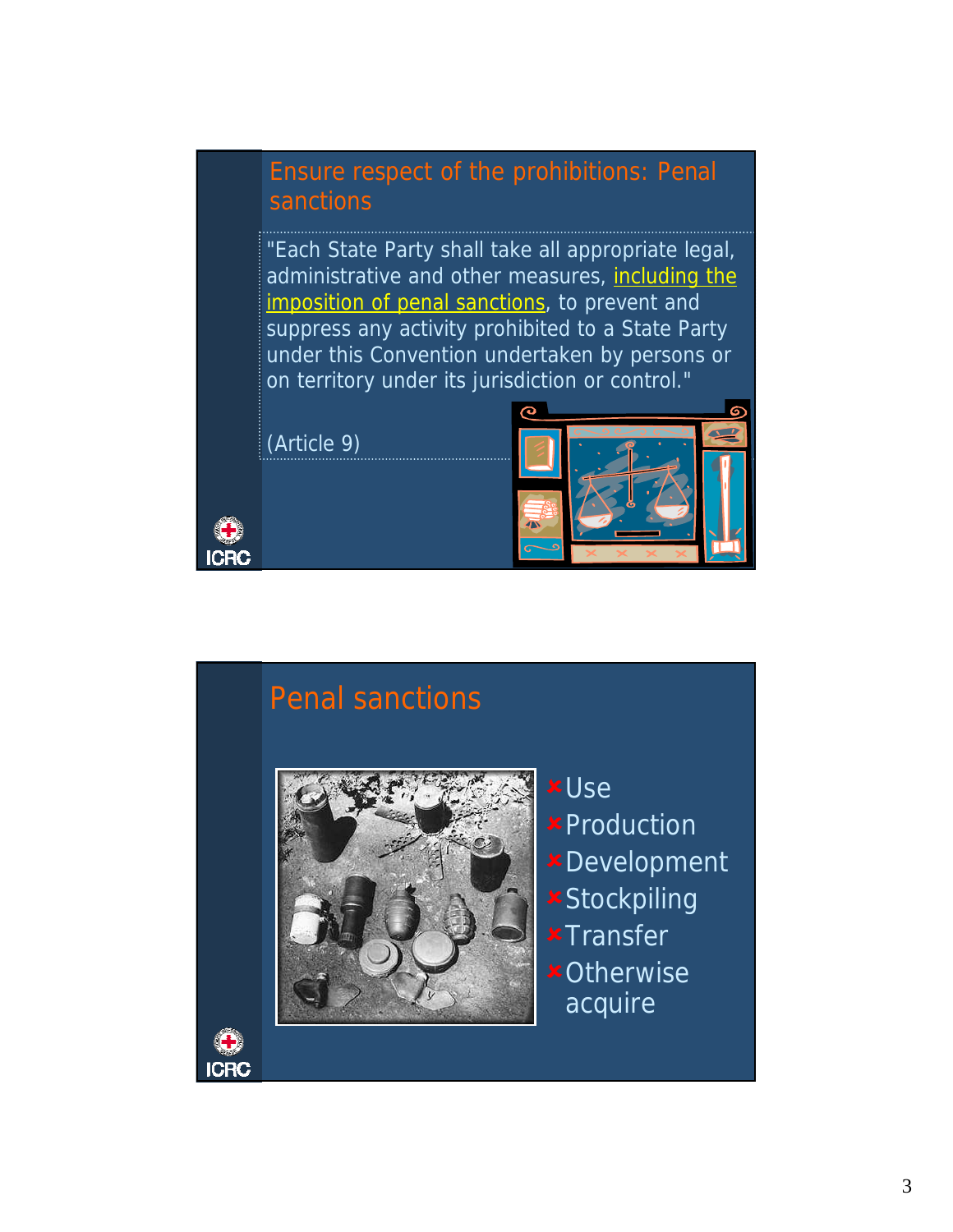## Ensure respect of the prohibitions: Penal sanctions

"Each State Party shall take all appropriate legal, administrative and other measures, including the imposition of penal sanctions, to prevent and suppress any activity prohibited to a State Party under this Convention undertaken by persons or on territory under its jurisdiction or control."

(Article 9)

**ICRC** 

**ICRC** 



# Penal sanctions



- 8Use **\*Production** 8Development **\*Stockpiling x**Transfer
- **\*Otherwise** acquire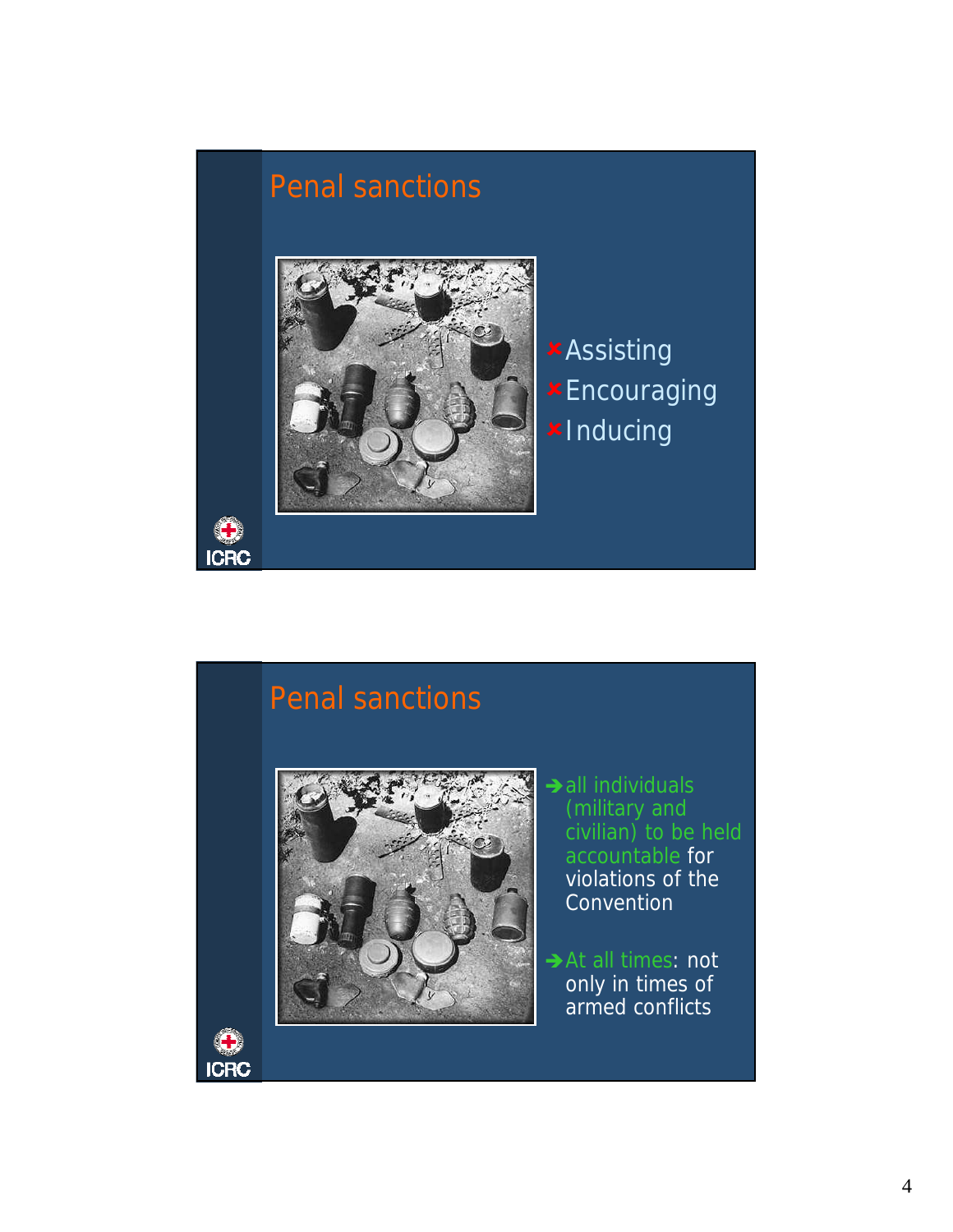

## Penal sanctions



- $\rightarrow$  all individuals (military and civilian) to be held accountable for violations of the **Convention**
- At all times: not only in times of armed conflicts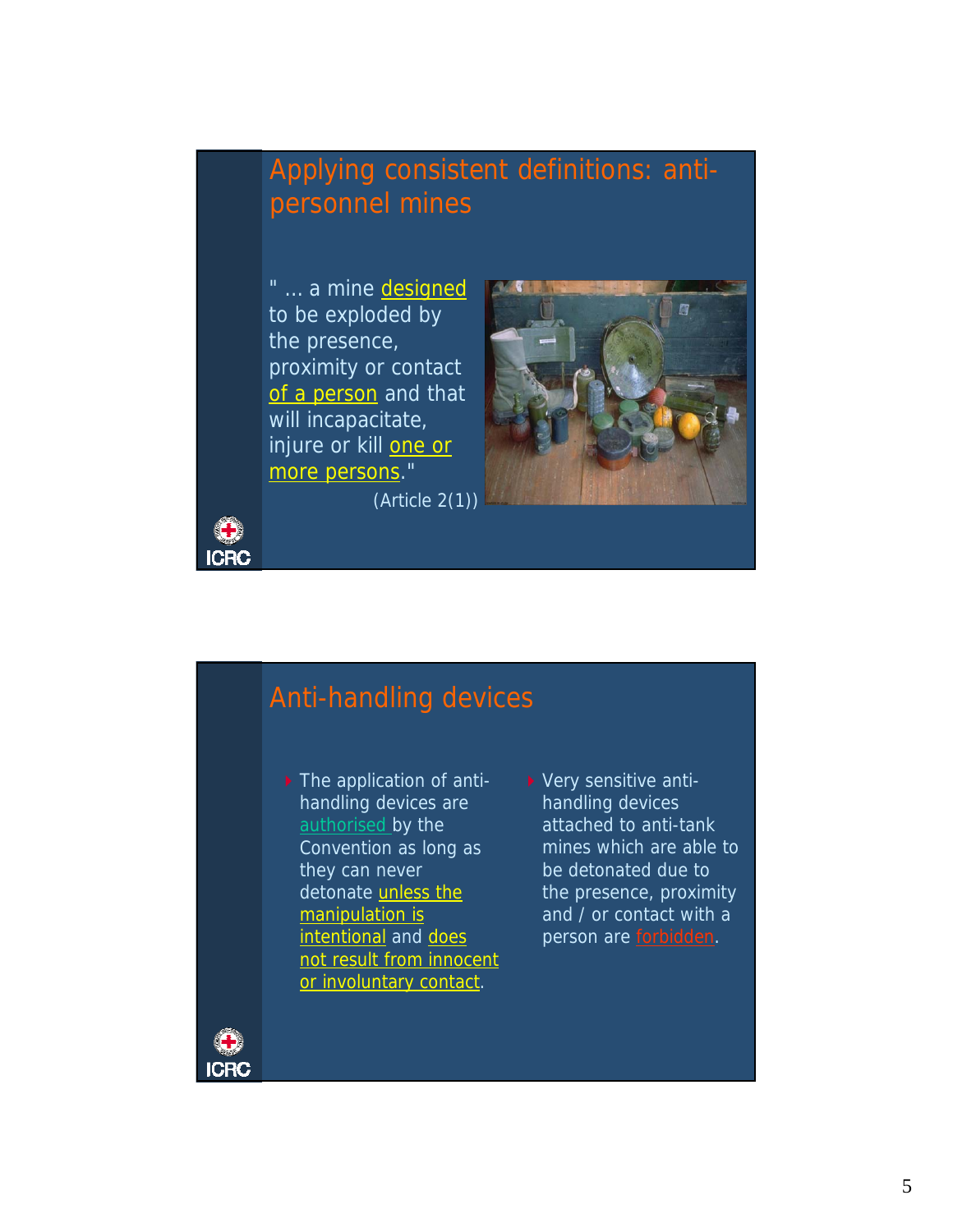## Applying consistent definitions: antipersonnel mines

" ... a mine designed to be exploded by the presence, proximity or contact of a person and that will incapacitate, injure or kill one or more persons."



(Article 2(1))

## Anti-handling devices

- ▶ The application of antihandling devices are authorised by the Convention as long as they can never detonate unless the manipulation is intentional and does not result from innocent or involuntary contact.
- ▶ Very sensitive antihandling devices attached to anti-tank mines which are able to be detonated due to the presence, proximity and / or contact with a person are forbidden.



**ICRC**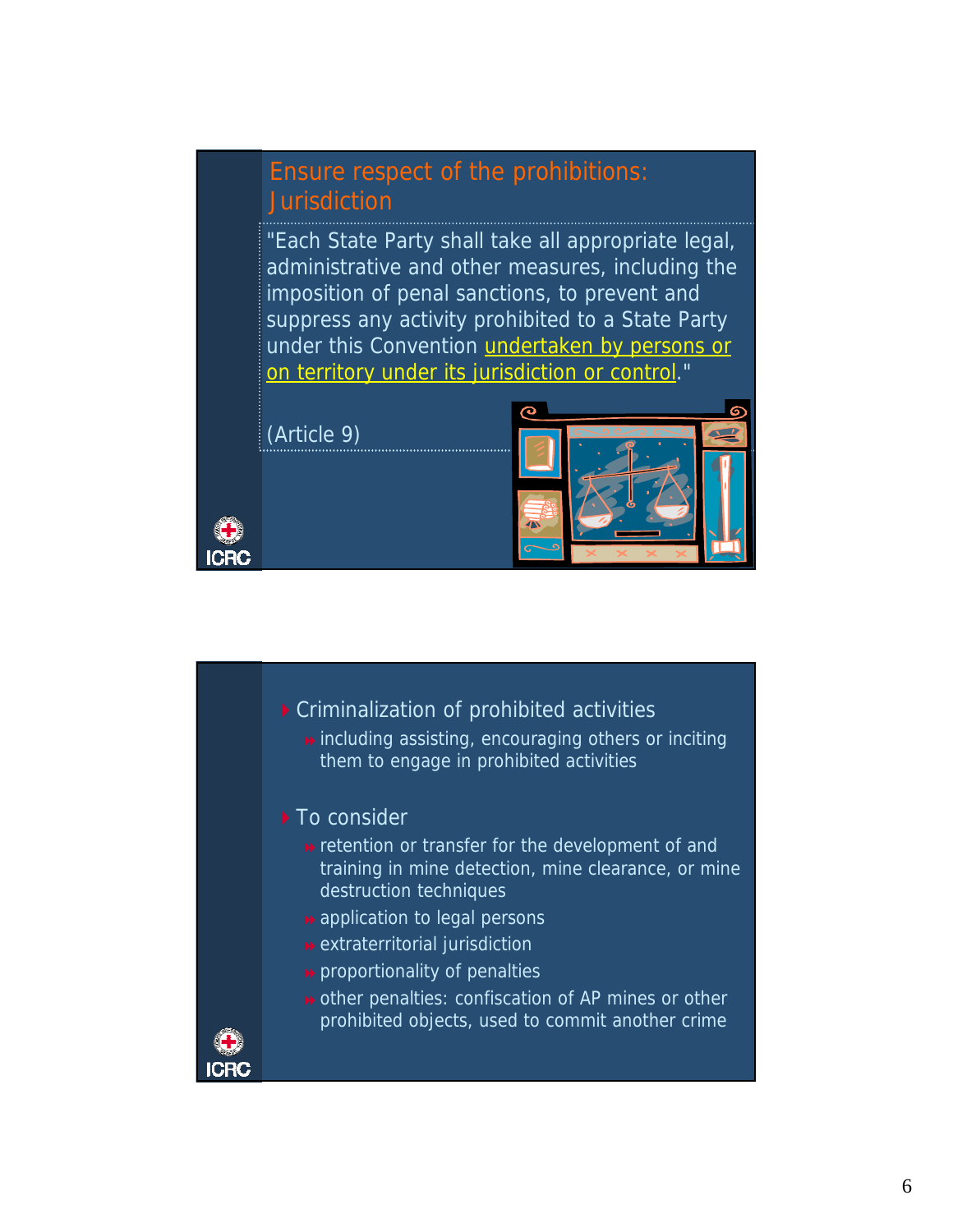### Ensure respect of the prohibitions: Jurisdiction

"Each State Party shall take all appropriate legal, administrative and other measures, including the imposition of penal sanctions, to prevent and suppress any activity prohibited to a State Party under this Convention undertaken by persons or on territory under its jurisdiction or control."

(Article 9)





**»** including assisting, encouraging others or inciting them to engage in prohibited activities

#### ▶ To consider

- **»** retention or transfer for the development of and training in mine detection, mine clearance, or mine destruction techniques
- **»** application to legal persons
- extraterritorial jurisdiction
- **p** proportionality of penalties
- **»** other penalties: confiscation of AP mines or other prohibited objects, used to commit another crime



CRC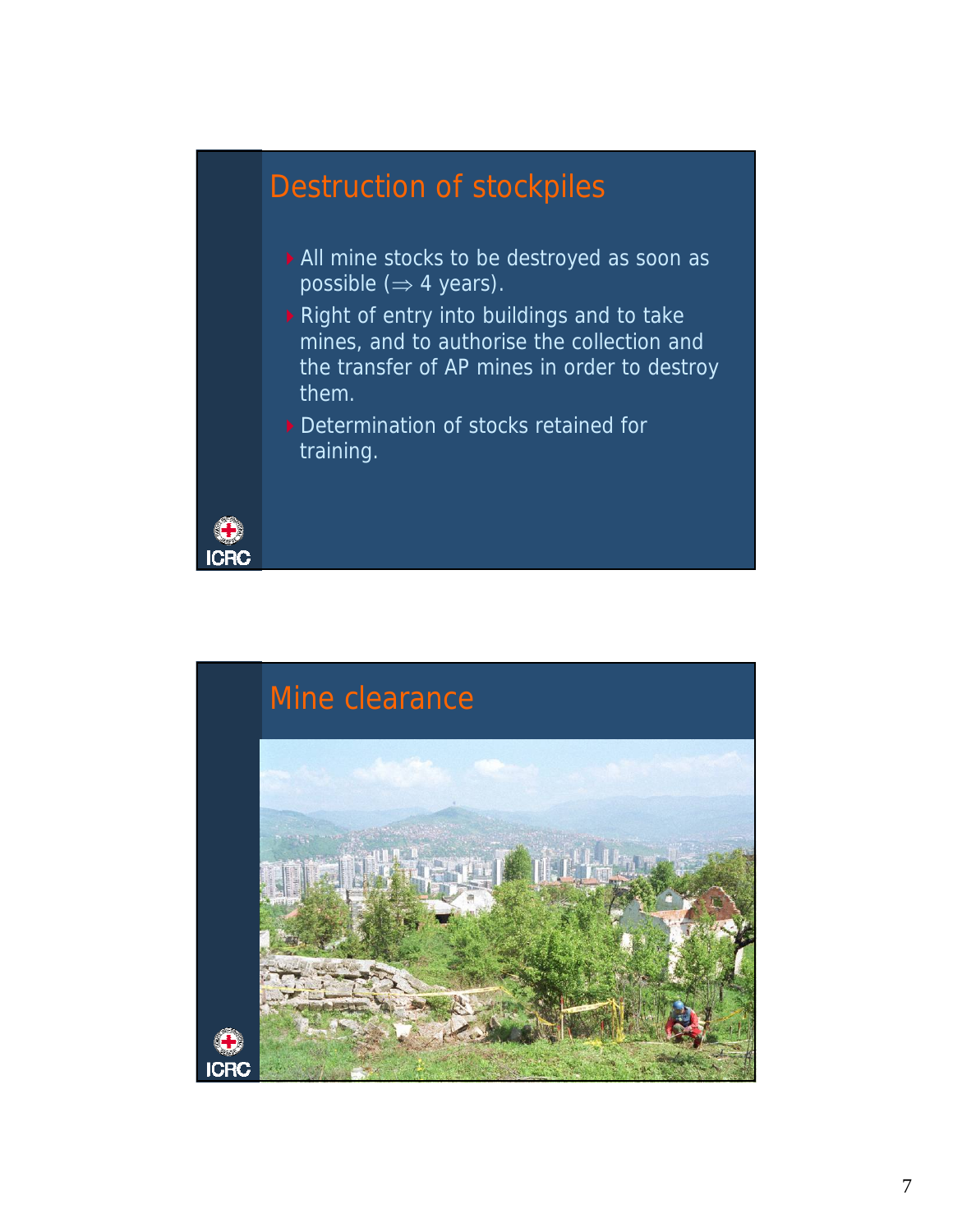## Destruction of stockpiles

- All mine stocks to be destroyed as soon as possible  $(\Rightarrow$  4 years).
- Right of entry into buildings and to take mines, and to authorise the collection and the transfer of AP mines in order to destroy them.
- Determination of stocks retained for training.



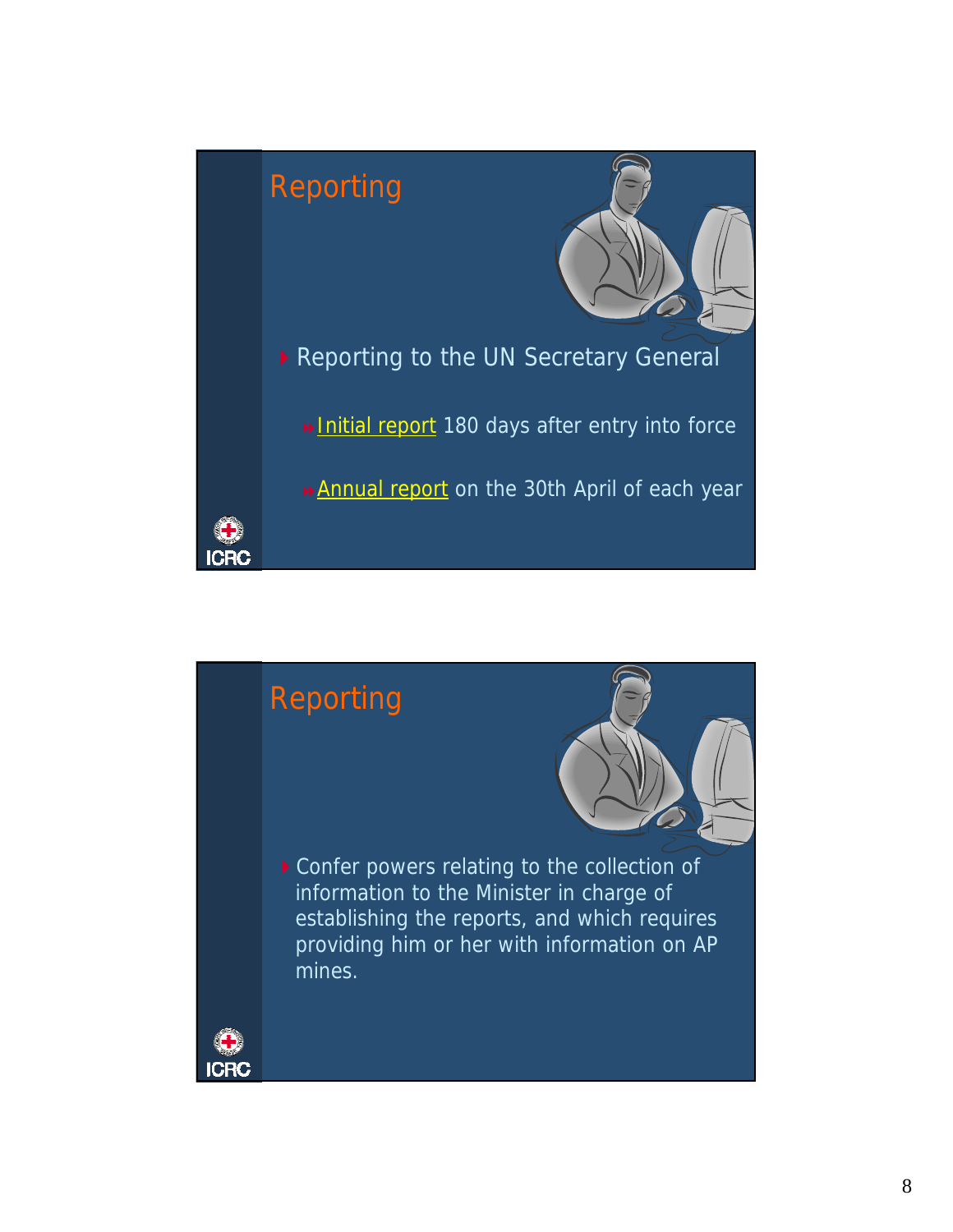

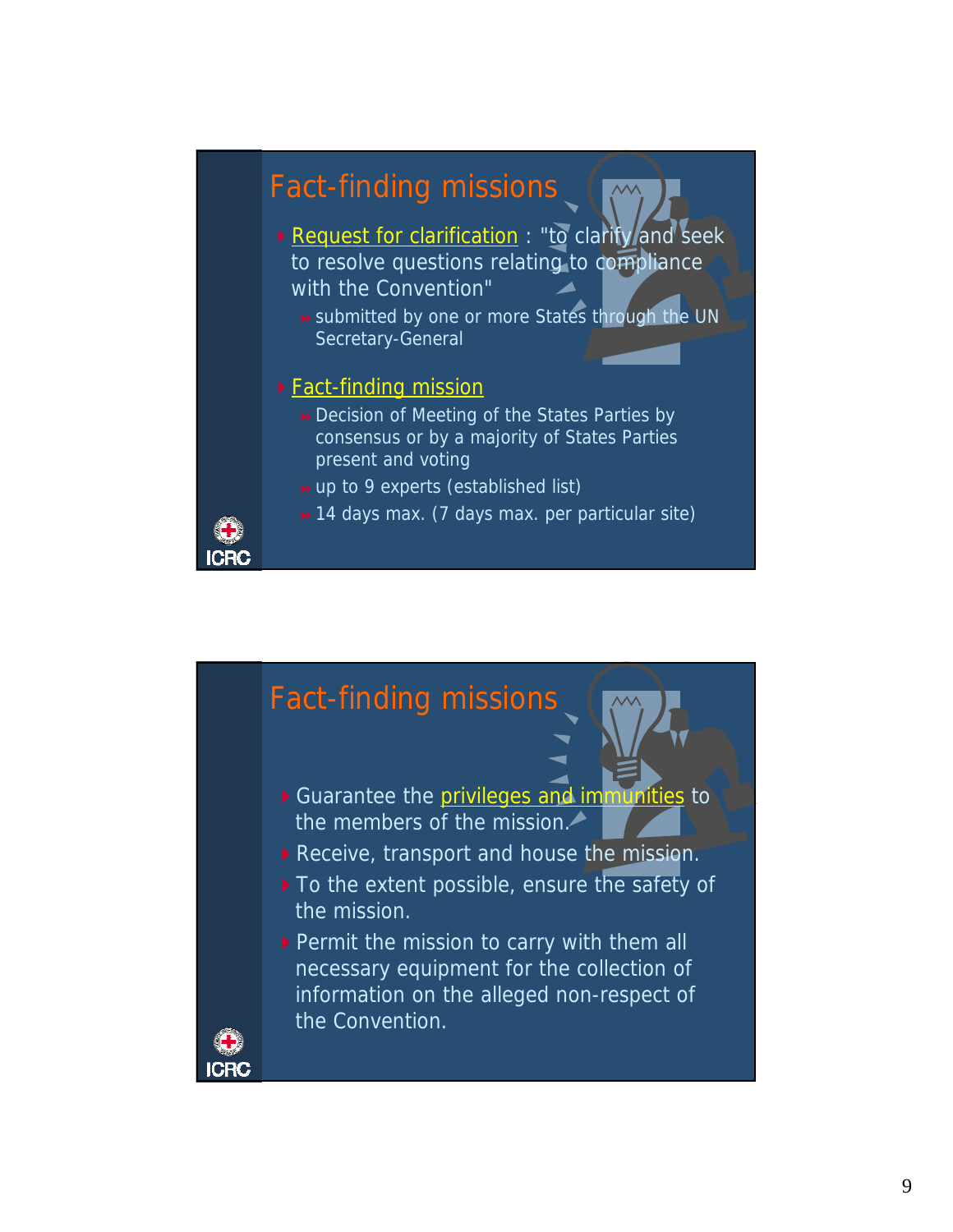

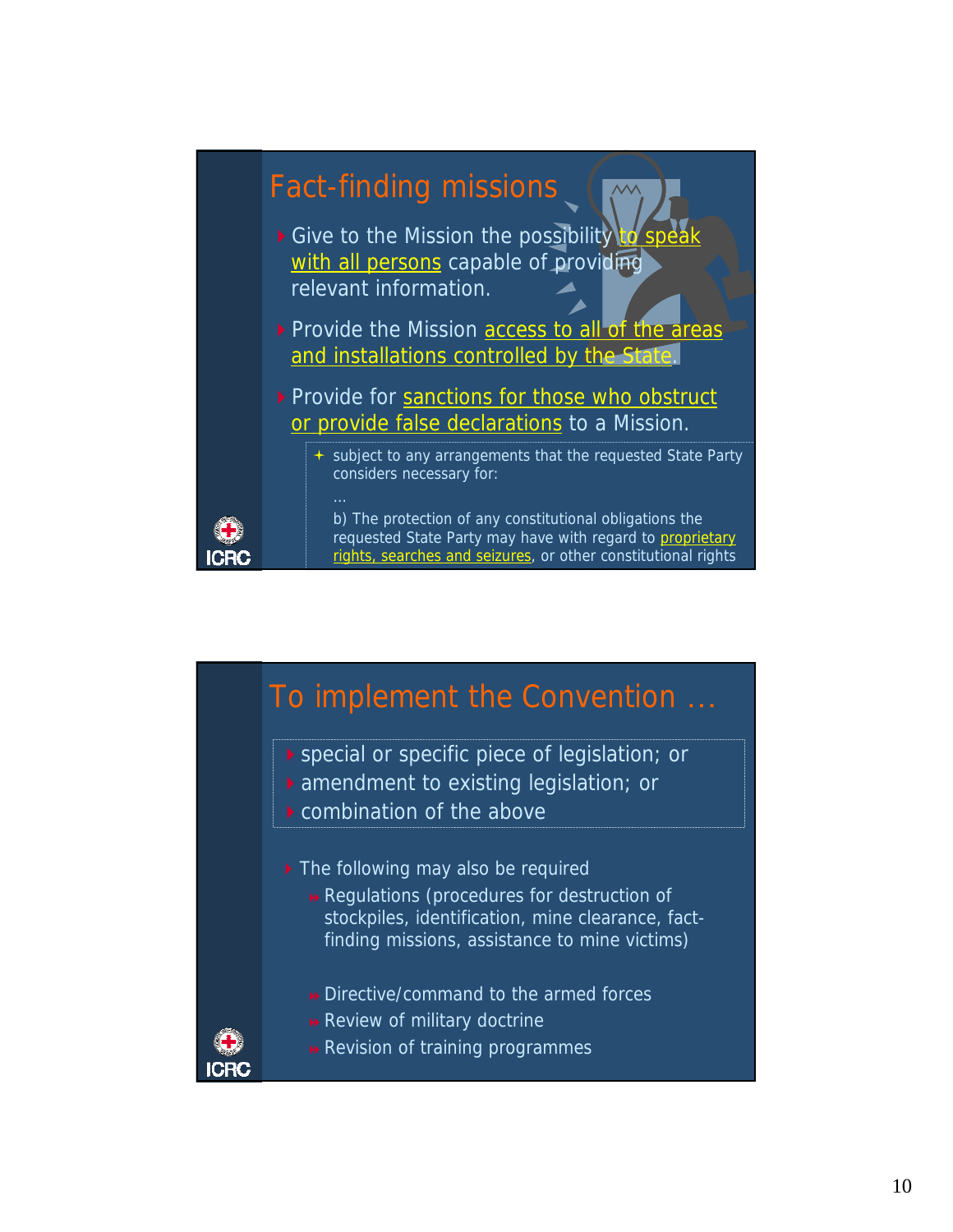

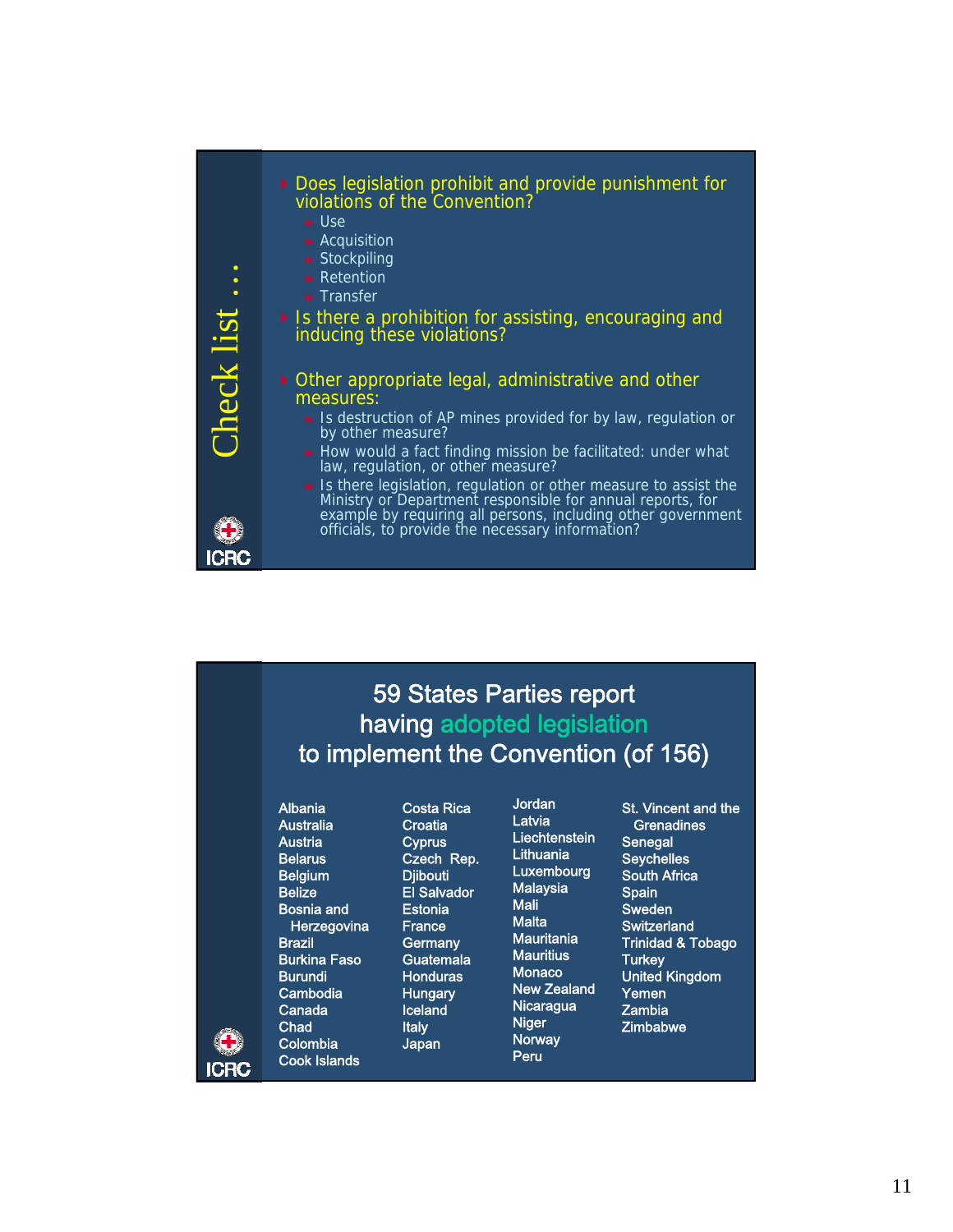

## 59 States Parties report having adopted legislation to implement the Convention (of 156)

#### Albania

Australia **Austria Belarus Belgium** Belize Bosnia and **Herzegovina** Brazil Burkina Faso **Burundi** Cambodia Canada **Chad** Colombia Cook Islands

CRO

Costa Rica **Croatia Cyprus** Czech Rep. **Diibouti** El Salvador **Estonia** France **Germany Guatemala** Honduras **Hungary Iceland** Italy Japan

Jordan Latvia **Liechtenstein Lithuania** Luxembourg Malaysia Mali **Malta Mauritania Mauritius** Monaco New Zealand **Nicaragua** Niger Norway Peru

St. Vincent and the **Grenadines Senegal Seychelles** South Africa **Spain** Sweden **Switzerland** Trinidad & Tobago Turkey United Kingdom Yemen Zambia **Zimbabwe**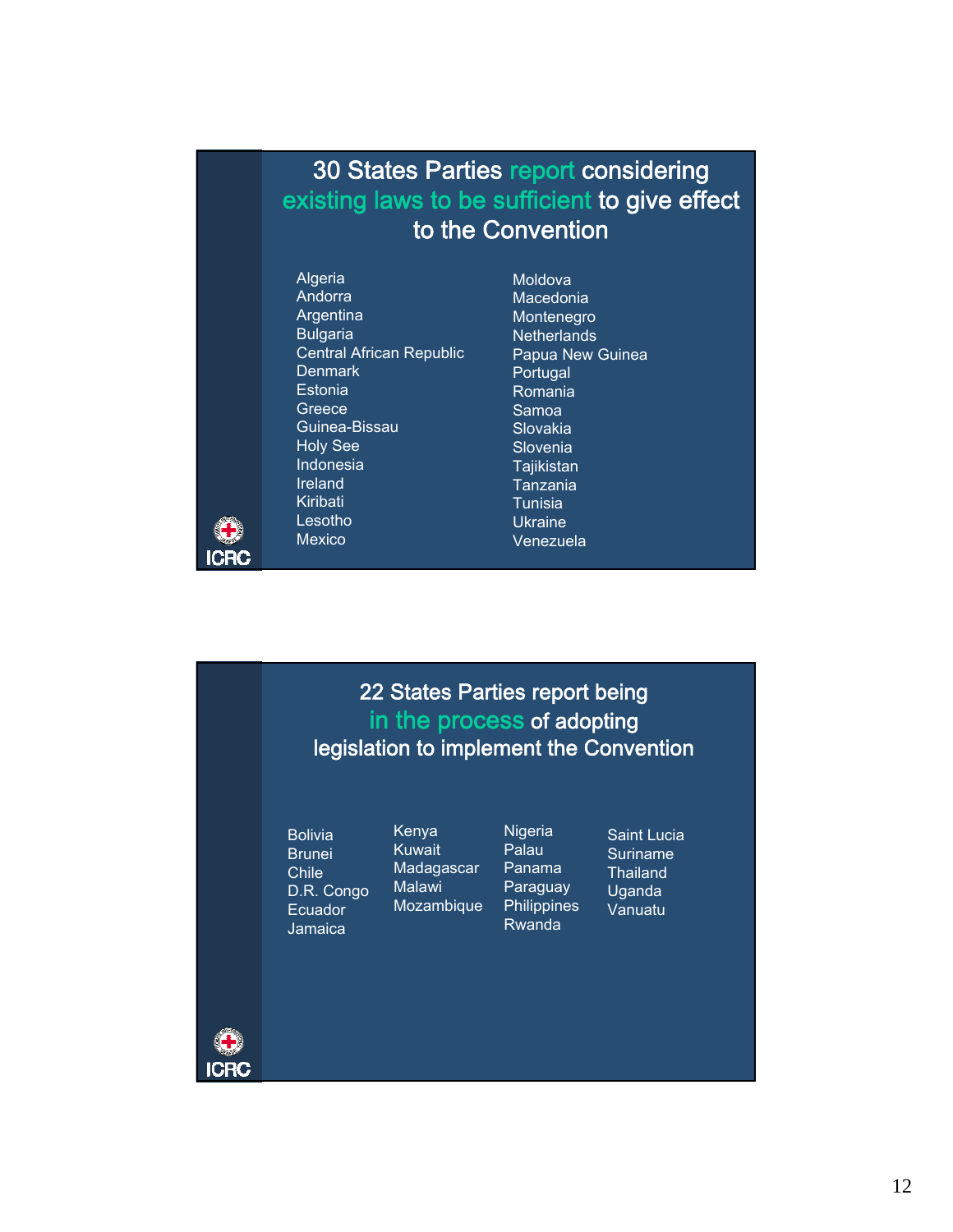## 30 States Parties report considering existing laws to be sufficient to give effect to the Convention

Algeria Andorra Argentina Bulgaria Central African Republic **Denmark Estonia Greece** Guinea-Bissau Holy See Indonesia Ireland Kiribati Lesotho Mexico

Moldova Macedonia Montenegro **Netherlands** Papua New Guinea Portugal Romania Samoa Slovakia Slovenia **Tajikistan** Tanzania Tunisia Ukraine Venezuela

22 States Parties report being in the process of adopting legislation to implement the Convention

Bolivia Brunei Chile D.R. Congo Ecuador Jamaica

Kenya Kuwait **Madagascar** Malawi Mozambique

**Nigeria** Palau Panama **Paraguay Philippines** Rwanda

Saint Lucia Suriname **Thailand** Uganda Vanuatu



CRC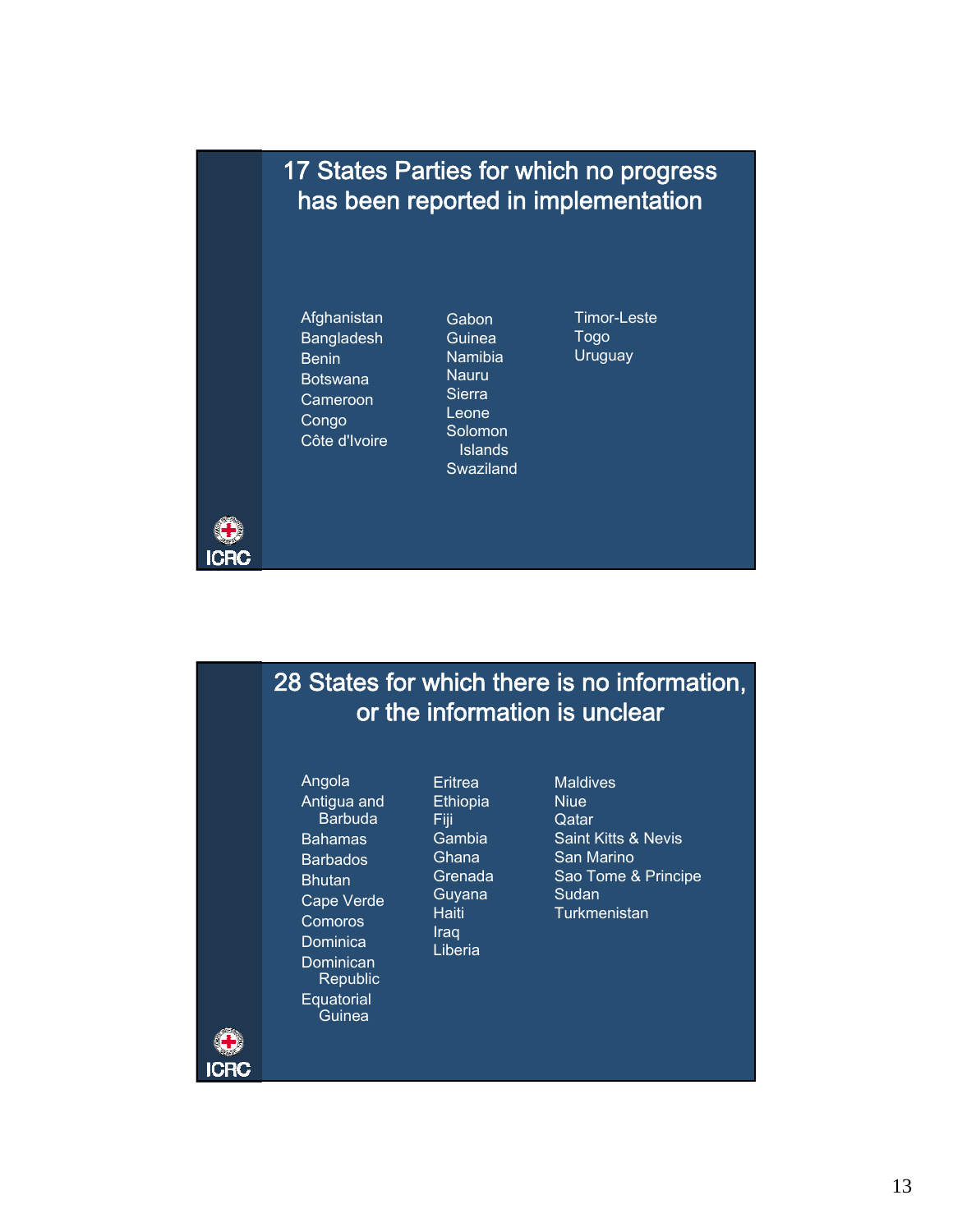## 17 States Parties for which no progress has been reported in implementation

Afghanistan Bangladesh Benin Botswana Cameroon Congo Côte d'Ivoire

**ICRC** 

ICRC

**Gabon** Guinea Namibia Nauru **Sierra** Leone Solomon Islands Swaziland Timor-Leste Togo **Uruguay** 

## 28 States for which there is no information, or the information is unclear

Angola Antigua and **Barbuda** Bahamas Barbados **Bhutan** Cape Verde Comoros **Dominica Dominican Republic Equatorial Guinea** 

**Eritrea Ethiopia** Fiji Gambia **Ghana** Grenada Guyana **Haiti** Iraq Liberia

Maldives Niue **Qatar** Saint Kitts & Nevis San Marino Sao Tome & Principe Sudan **Turkmenistan**